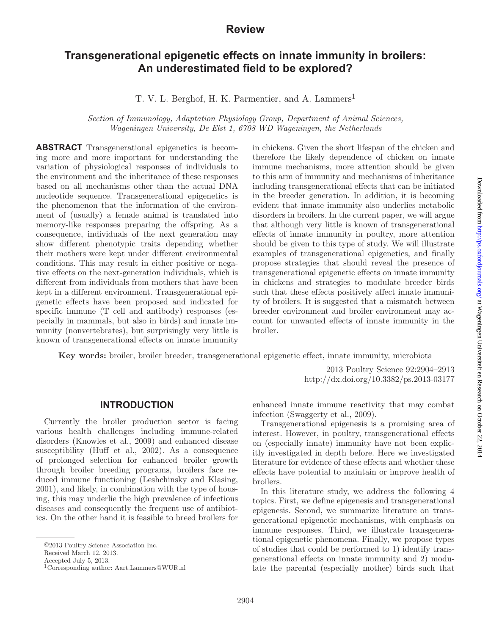# **Transgenerational epigenetic effects on innate immunity in broilers: An underestimated field to be explored?**

T. V. L. Berghof, H. K. Parmentier, and A. Lammers<sup>1</sup>

 *Section of Immunology, Adaptation Physiology Group, Department of Animal Sciences, Wageningen University, De Elst 1, 6708 WD Wageningen, the Netherlands* 

 **ABSTRACT** Transgenerational epigenetics is becoming more and more important for understanding the variation of physiological responses of individuals to the environment and the inheritance of these responses based on all mechanisms other than the actual DNA nucleotide sequence. Transgenerational epigenetics is the phenomenon that the information of the environment of (usually) a female animal is translated into memory-like responses preparing the offspring. As a consequence, individuals of the next generation may show different phenotypic traits depending whether their mothers were kept under different environmental conditions. This may result in either positive or negative effects on the next-generation individuals, which is different from individuals from mothers that have been kept in a different environment. Transgenerational epigenetic effects have been proposed and indicated for specific immune (T cell and antibody) responses (especially in mammals, but also in birds) and innate immunity (nonvertebrates), but surprisingly very little is known of transgenerational effects on innate immunity in chickens. Given the short lifespan of the chicken and therefore the likely dependence of chicken on innate immune mechanisms, more attention should be given to this arm of immunity and mechanisms of inheritance including transgenerational effects that can be initiated in the breeder generation. In addition, it is becoming evident that innate immunity also underlies metabolic disorders in broilers. In the current paper, we will argue that although very little is known of transgenerational effects of innate immunity in poultry, more attention should be given to this type of study. We will illustrate examples of transgenerational epigenetics, and finally propose strategies that should reveal the presence of transgenerational epigenetic effects on innate immunity in chickens and strategies to modulate breeder birds such that these effects positively affect innate immunity of broilers. It is suggested that a mismatch between breeder environment and broiler environment may account for unwanted effects of innate immunity in the broiler.

**Key words:** broiler, broiler breeder, transgenerational epigenetic effect, innate immunity, microbiota

 2013 Poultry Science 92 :2904–2913 http://dx.doi.org/ 10.3382/ps.2013-03177

#### **INTRODUCTION**

 Currently the broiler production sector is facing various health challenges including immune-related disorders (Knowles et al., 2009) and enhanced disease susceptibility (Huff et al., 2002). As a consequence of prolonged selection for enhanced broiler growth through broiler breeding programs, broilers face reduced immune functioning (Leshchinsky and Klasing, 2001), and likely, in combination with the type of housing, this may underlie the high prevalence of infectious diseases and consequently the frequent use of antibiotics. On the other hand it is feasible to breed broilers for enhanced innate immune reactivity that may combat infection (Swaggerty et al., 2009).

 Transgenerational epigenesis is a promising area of interest. However, in poultry, transgenerational effects on (especially innate) immunity have not been explicitly investigated in depth before. Here we investigated literature for evidence of these effects and whether these effects have potential to maintain or improve health of broilers.

 In this literature study, we address the following 4 topics. First, we define epigenesis and transgenerational epigenesis. Second, we summarize literature on transgenerational epigenetic mechanisms, with emphasis on immune responses. Third, we illustrate transgenerational epigenetic phenomena. Finally, we propose types of studies that could be performed to 1) identify transgenerational effects on innate immunity and 2) modulate the parental (especially mother) birds such that

<sup>© 2013</sup> Poultry Science Association Inc.

Received March 12, 2013.

Accepted July 5, 2013.

 <sup>1</sup> Corresponding author: Aart.Lammers@WUR.nl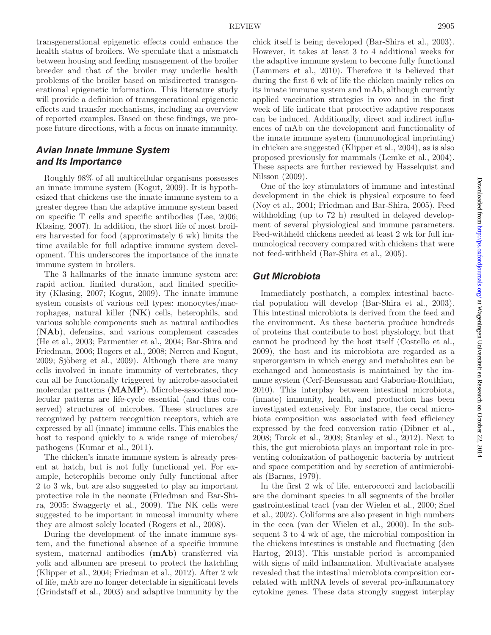transgenerational epigenetic effects could enhance the health status of broilers. We speculate that a mismatch between housing and feeding management of the broiler breeder and that of the broiler may underlie health problems of the broiler based on misdirected transgenerational epigenetic information. This literature study will provide a definition of transgenerational epigenetic effects and transfer mechanisms, including an overview of reported examples. Based on these findings, we propose future directions, with a focus on innate immunity.

### *Avian Innate Immune System and Its Importance*

Roughly 98% of all multicellular organisms possesses an innate immune system (Kogut, 2009). It is hypothesized that chickens use the innate immune system to a greater degree than the adaptive immune system based on specific T cells and specific antibodies (Lee, 2006; Klasing, 2007). In addition, the short life of most broilers harvested for food (approximately 6 wk) limits the time available for full adaptive immune system development. This underscores the importance of the innate immune system in broilers.

The 3 hallmarks of the innate immune system are: rapid action, limited duration, and limited specificity (Klasing, 2007; Kogut, 2009). The innate immune system consists of various cell types: monocytes/macrophages, natural killer (**NK**) cells, heterophils, and various soluble components such as natural antibodies (**NAb**), defensins, and various complement cascades (He et al., 2003; Parmentier et al., 2004; Bar-Shira and Friedman, 2006; Rogers et al., 2008; Nerren and Kogut, 2009; Sjöberg et al., 2009). Although there are many cells involved in innate immunity of vertebrates, they can all be functionally triggered by microbe-associated molecular patterns (**MAMP**). Microbe-associated molecular patterns are life-cycle essential (and thus conserved) structures of microbes. These structures are recognized by pattern recognition receptors, which are expressed by all (innate) immune cells. This enables the host to respond quickly to a wide range of microbes/ pathogens (Kumar et al., 2011).

The chicken's innate immune system is already present at hatch, but is not fully functional yet. For example, heterophils become only fully functional after 2 to 3 wk, but are also suggested to play an important protective role in the neonate (Friedman and Bar-Shira, 2005; Swaggerty et al., 2009). The NK cells were suggested to be important in mucosal immunity where they are almost solely located (Rogers et al., 2008).

During the development of the innate immune system, and the functional absence of a specific immune system, maternal antibodies (**mAb**) transferred via yolk and albumen are present to protect the hatchling (Klipper et al., 2004; Friedman et al., 2012). After 2 wk of life, mAb are no longer detectable in significant levels (Grindstaff et al., 2003) and adaptive immunity by the chick itself is being developed (Bar-Shira et al., 2003). However, it takes at least 3 to 4 additional weeks for the adaptive immune system to become fully functional (Lammers et al., 2010). Therefore it is believed that during the first 6 wk of life the chicken mainly relies on its innate immune system and mAb, although currently applied vaccination strategies in ovo and in the first week of life indicate that protective adaptive responses can be induced. Additionally, direct and indirect influences of mAb on the development and functionality of the innate immune system (immunological imprinting) in chicken are suggested (Klipper et al., 2004), as is also proposed previously for mammals (Lemke et al., 2004). These aspects are further reviewed by Hasselquist and Nilsson (2009).

One of the key stimulators of immune and intestinal development in the chick is physical exposure to feed (Noy et al., 2001; Friedman and Bar-Shira, 2005). Feed withholding (up to 72 h) resulted in delayed development of several physiological and immune parameters. Feed-withheld chickens needed at least 2 wk for full immunological recovery compared with chickens that were not feed-withheld (Bar-Shira et al., 2005).

#### *Gut Microbiota*

Immediately posthatch, a complex intestinal bacterial population will develop (Bar-Shira et al., 2003). This intestinal microbiota is derived from the feed and the environment. As these bacteria produce hundreds of proteins that contribute to host physiology, but that cannot be produced by the host itself (Costello et al., 2009), the host and its microbiota are regarded as a superorganism in which energy and metabolites can be exchanged and homeostasis is maintained by the immune system (Cerf-Bensussan and Gaboriau-Routhiau, 2010). This interplay between intestinal microbiota, (innate) immunity, health, and production has been investigated extensively. For instance, the cecal microbiota composition was associated with feed efficiency expressed by the feed conversion ratio (Dibner et al., 2008; Torok et al., 2008; Stanley et al., 2012). Next to this, the gut microbiota plays an important role in preventing colonization of pathogenic bacteria by nutrient and space competition and by secretion of antimicrobials (Barnes, 1979).

In the first 2 wk of life, enterococci and lactobacilli are the dominant species in all segments of the broiler gastrointestinal tract (van der Wielen et al., 2000; Snel et al., 2002). Coliforms are also present in high numbers in the ceca (van der Wielen et al., 2000). In the subsequent 3 to 4 wk of age, the microbial composition in the chickens intestines is unstable and fluctuating (den Hartog, 2013). This unstable period is accompanied with signs of mild inflammation. Multivariate analyses revealed that the intestinal microbiota composition correlated with mRNA levels of several pro-inflammatory cytokine genes. These data strongly suggest interplay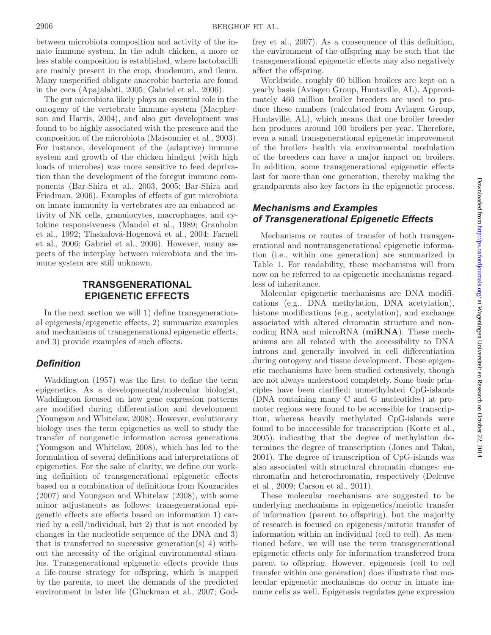between microbiota composition and activity of the innate immune system. In the adult chicken, a more or less stable composition is established, where lactobacilli are mainly present in the crop, duodenum, and ileum. Many unspecified obligate anaerobic bacteria are found in the ceca (Apajalahti, 2005; Gabriel et al., 2006).

The gut microbiota likely plays an essential role in the ontogeny of the vertebrate immune system (Macpherson and Harris, 2004), and also gut development was found to be highly associated with the presence and the composition of the microbiota (Maisonnier et al., 2003). For instance, development of the (adaptive) immune system and growth of the chicken hindgut (with high loads of microbes) was more sensitive to feed deprivation than the development of the foregut immune components (Bar-Shira et al., 2003, 2005; Bar-Shira and Friedman, 2006). Examples of effects of gut microbiota on innate immunity in vertebrates are an enhanced activity of NK cells, granulocytes, macrophages, and cytokine responsiveness (Mandel et al., 1989; Granholm et al., 1992; Tlaskalová-Hogenová et al., 2004; Farnell et al., 2006; Gabriel et al., 2006). However, many aspects of the interplay between microbiota and the immune system are still unknown.

### **TRANSGENERATIONAL EPIGENETIC EFFECTS**

In the next section we will 1) define transgenerational epigenesis/epigenetic effects, 2) summarize examples and mechanisms of transgenerational epigenetic effects, and 3) provide examples of such effects.

### *Definition*

Waddington (1957) was the first to define the term epigenetics. As a developmental/molecular biologist, Waddington focused on how gene expression patterns are modified during differentiation and development (Youngson and Whitelaw, 2008). However, evolutionary biology uses the term epigenetics as well to study the transfer of nongenetic information across generations (Youngson and Whitelaw, 2008), which has led to the formulation of several definitions and interpretations of epigenetics. For the sake of clarity, we define our working definition of transgenerational epigenetic effects based on a combination of definitions from Kouzarides (2007) and Youngson and Whitelaw (2008), with some minor adjustments as follows: transgenerational epigenetic effects are effects based on information 1) carried by a cell/individual, but 2) that is not encoded by changes in the nucleotide sequence of the DNA and 3) that is transferred to successive generation(s) 4) without the necessity of the original environmental stimulus. Transgenerational epigenetic effects provide thus a life-course strategy for offspring, which is mapped by the parents, to meet the demands of the predicted environment in later life (Gluckman et al., 2007; Godfrey et al., 2007). As a consequence of this definition, the environment of the offspring may be such that the transgenerational epigenetic effects may also negatively affect the offspring.

Worldwide, roughly 60 billion broilers are kept on a yearly basis (Aviagen Group, Huntsville, AL). Approximately 460 million broiler breeders are used to produce these numbers (calculated from Aviagen Group, Huntsville, AL), which means that one broiler breeder hen produces around 100 broilers per year. Therefore, even a small transgenerational epigenetic improvement of the broilers health via environmental modulation of the breeders can have a major impact on broilers. In addition, some transgenerational epigenetic effects last for more than one generation, thereby making the grandparents also key factors in the epigenetic process.

### *Mechanisms and Examples of Transgenerational Epigenetic Effects*

Mechanisms or routes of transfer of both transgenerational and nontransgenerational epigenetic information (i.e., within one generation) are summarized in Table 1. For readability, these mechanisms will from now on be referred to as epigenetic mechanisms regardless of inheritance.

Molecular epigenetic mechanisms are DNA modifications (e.g., DNA methylation, DNA acetylation), histone modifications (e.g., acetylation), and exchange associated with altered chromatin structure and noncoding RNA and microRNA (**miRNA**). These mechanisms are all related with the accessibility to DNA introns and generally involved in cell differentiation during ontogeny and tissue development. These epigenetic mechanisms have been studied extensively, though are not always understood completely. Some basic principles have been clarified: unmethylated CpG-islands (DNA containing many C and G nucleotides) at promoter regions were found to be accessible for transcription, whereas heavily methylated CpG-islands were found to be inaccessible for transcription (Korte et al., 2005), indicating that the degree of methylation determines the degree of transcription (Jones and Takai, 2001). The degree of transcription of CpG-islands was also associated with structural chromatin changes: euchromatin and heterochromatin, respectively (Delcuve et al., 2009; Carson et al., 2011).

These molecular mechanisms are suggested to be underlying mechanisms in epigenetics/meiotic transfer of information (parent to offspring), but the majority of research is focused on epigenesis/mitotic transfer of information within an individual (cell to cell). As mentioned before, we will use the term transgenerational epigenetic effects only for information transferred from parent to offspring. However, epigenesis (cell to cell transfer within one generation) does illustrate that molecular epigenetic mechanisms do occur in innate immune cells as well. Epigenesis regulates gene expression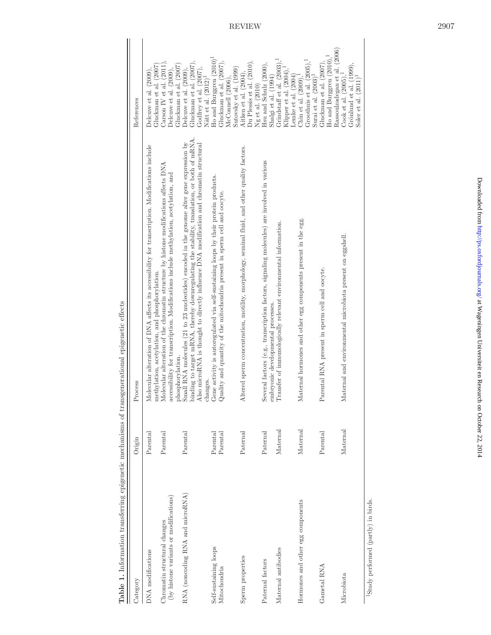| ì | i<br>$\frac{1}{2}$<br>í<br>$\frac{1}{2}$ |
|---|------------------------------------------|
|   |                                          |
|   | Ï<br>$\overline{\phantom{a}}$<br>J<br>į  |
|   |                                          |
|   | i                                        |
|   | <b>County</b><br>I                       |
|   | l                                        |
|   |                                          |
|   |                                          |
|   | j                                        |
|   | $\frac{1}{2}$<br>j<br>١                  |
|   |                                          |
|   |                                          |
|   | J                                        |
|   | J<br>$\overline{\phantom{a}}$<br>í<br>5  |
|   | l                                        |
|   |                                          |
|   | ļ<br>I                                   |
|   | j<br>j<br>ï                              |
|   | l<br>١                                   |
|   |                                          |
|   | l                                        |
|   | ١                                        |
|   |                                          |
|   | 1                                        |
|   | $\overline{\mathbf{C}}$                  |
|   | $\frac{1}{2}$<br>ļ                       |
| I |                                          |

| Category                                                               | Origin                       | Process                                                                                                                                                                                                                                | References                                                                                                |
|------------------------------------------------------------------------|------------------------------|----------------------------------------------------------------------------------------------------------------------------------------------------------------------------------------------------------------------------------------|-----------------------------------------------------------------------------------------------------------|
| DNA modifications                                                      | Parental                     | Molecular alteration of DNA affects its accessibility for transcription. Modifications include<br>methylation, acetylation, and phosphorylation.                                                                                       | Gluckman et al. (2007<br>Delcuve et al. (2009)                                                            |
| (by histone variants or modifications)<br>Chromatin structural changes | Parental                     | Molecular alteration of the chromatin structure by histone modifications affects DNA                                                                                                                                                   | Carson IV et al. (2011),<br>Gluckman et al. $(2007)$<br>Delcuve et al. (2009),                            |
| RNA (noncoding RNA and microRNA)                                       | Parental                     | accessibility for transcription. Modifications include methylation, acetylation, and<br>phosphorylation.<br>Small RNA molecules (21 to 23 nucleotides) encoded in the genome alter gene expression by<br>binding to target mRNA, there | Gluckman et al. (2007),<br>Godfrey et al. (2007),<br>Delcuve et al. (2009),<br>Nätt et al. $(2012)^1$     |
| Self-sustaining loops<br>Mitochondria                                  | $\rm {Parental}$<br>Parental | changes.<br>Gene activity is autoregulated via self-sustaining loops by their protein products.<br>Quality and quantity of the mitochondria present in sperm cell and oocyte.                                                          | Ho and Burggren $(2010)^1$<br>Gluckman et al. $(2007)$ ,<br>Sutovsky et al. (1999)<br>$McComell (2006)$ , |
| Sperm properties                                                       | Paternal                     | Altered sperm concentration, motility, morphology, seminal fluid, and other quality factors.                                                                                                                                           | Du Plessis et al. (2010),<br>Aitken et al. (2004)<br>Ng et al. (2010)                                     |
| Paternal factors                                                       | Paternal                     | Several factors (e.g., transcription factors, signaling molecules) are involved in various<br>embryonic developmental processes.                                                                                                       | Hsu and Schulz (2000),<br>Shalgi et al. (1994)                                                            |
| Maternal antibodies                                                    | Maternal                     | Transfer of immunologically relevant environmental information.                                                                                                                                                                        | Grindstaff et al. (2003). <sup>1</sup><br>Klipper et al. (2004),<br>Lemke et al. (2004)                   |
| Hormones and other egg components                                      | Maternal                     | Maternal hormones and other egg components present in the egg.                                                                                                                                                                         | Groothuis et al. $(2005)$ , <sup>1</sup><br>Surai et al. $(2003)^1$<br>Chin et al. (2009)                 |
| Gametal RNA                                                            | Parental                     | Parental RNA present in sperm cell and oocyte.                                                                                                                                                                                         | Rassoulzadegan et al. (2006)<br>Ho and Burggren $(2010)$ , <sup>1</sup><br>Gluckman et al. $(2007)$ ,     |
| Microbiota                                                             | Maternal                     | Maternal and environmental microbiota present on eggshell.                                                                                                                                                                             | Grönlund et al. (1999),<br>Cook et al. $(2005)$ , <sup>1</sup><br>Soler et al. $(2011)^1$                 |
|                                                                        |                              |                                                                                                                                                                                                                                        |                                                                                                           |

 $\rm ^1Study$  performed (partly) in birds. 1Study performed (partly) in birds.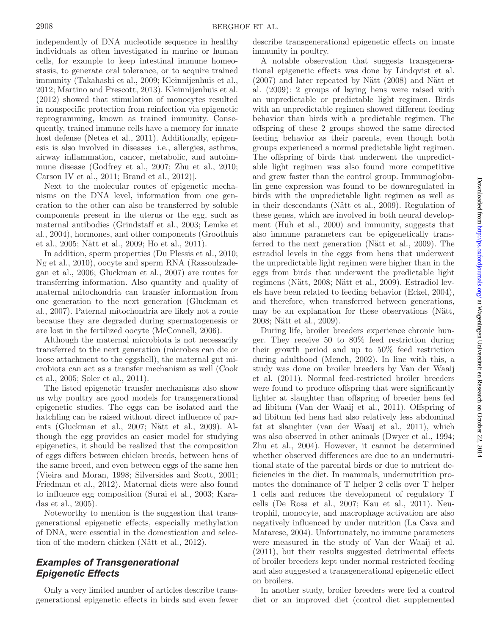independently of DNA nucleotide sequence in healthy individuals as often investigated in murine or human cells, for example to keep intestinal immune homeostasis, to generate oral tolerance, or to acquire trained immunity (Takahashi et al., 2009; Kleinnijenhuis et al., 2012; Martino and Prescott, 2013). Kleinnijenhuis et al. (2012) showed that stimulation of monocytes resulted in nonspecific protection from reinfection via epigenetic reprogramming, known as trained immunity. Consequently, trained immune cells have a memory for innate host defense (Netea et al., 2011). Additionally, epigenesis is also involved in diseases [i.e., allergies, asthma, airway inflammation, cancer, metabolic, and autoimmune disease (Godfrey et al., 2007; Zhu et al., 2010; Carson IV et al., 2011; Brand et al., 2012)].

Next to the molecular routes of epigenetic mechanisms on the DNA level, information from one generation to the other can also be transferred by soluble components present in the uterus or the egg, such as maternal antibodies (Grindstaff et al., 2003; Lemke et al., 2004), hormones, and other components (Groothuis et al., 2005; Nätt et al., 2009; Ho et al., 2011).

In addition, sperm properties (Du Plessis et al., 2010; Ng et al., 2010), oocyte and sperm RNA (Rassoulzadegan et al., 2006; Gluckman et al., 2007) are routes for transferring information. Also quantity and quality of maternal mitochondria can transfer information from one generation to the next generation (Gluckman et al., 2007). Paternal mitochondria are likely not a route because they are degraded during spermatogenesis or are lost in the fertilized oocyte (McConnell, 2006).

Although the maternal microbiota is not necessarily transferred to the next generation (microbes can die or loose attachment to the eggshell), the maternal gut microbiota can act as a transfer mechanism as well (Cook et al., 2005; Soler et al., 2011).

The listed epigenetic transfer mechanisms also show us why poultry are good models for transgenerational epigenetic studies. The eggs can be isolated and the hatchling can be raised without direct influence of parents (Gluckman et al., 2007; Nätt et al., 2009). Although the egg provides an easier model for studying epigenetics, it should be realized that the composition of eggs differs between chicken breeds, between hens of the same breed, and even between eggs of the same hen (Vieira and Moran, 1998; Silversides and Scott, 2001; Friedman et al., 2012). Maternal diets were also found to influence egg composition (Surai et al., 2003; Karadas et al., 2005).

Noteworthy to mention is the suggestion that transgenerational epigenetic effects, especially methylation of DNA, were essential in the domestication and selection of the modern chicken (Nätt et al., 2012).

## *Examples of Transgenerational Epigenetic Effects*

Only a very limited number of articles describe transgenerational epigenetic effects in birds and even fewer describe transgenerational epigenetic effects on innate immunity in poultry.

A notable observation that suggests transgenerational epigenetic effects was done by Lindqvist et al. (2007) and later repeated by Nätt (2008) and Nätt et al. (2009): 2 groups of laying hens were raised with an unpredictable or predictable light regimen. Birds with an unpredictable regimen showed different feeding behavior than birds with a predictable regimen. The offspring of these 2 groups showed the same directed feeding behavior as their parents, even though both groups experienced a normal predictable light regimen. The offspring of birds that underwent the unpredictable light regimen was also found more competitive and grew faster than the control group. Immunoglobulin gene expression was found to be downregulated in birds with the unpredictable light regimen as well as in their descendants (Nätt et al., 2009). Regulation of these genes, which are involved in both neural development (Huh et al., 2000) and immunity, suggests that also immune parameters can be epigenetically transferred to the next generation (Nätt et al., 2009). The estradiol levels in the eggs from hens that underwent the unpredictable light regimen were higher than in the eggs from birds that underwent the predictable light regimens (Nätt, 2008; Nätt et al., 2009). Estradiol levels have been related to feeding behavior (Eckel, 2004), and therefore, when transferred between generations, may be an explanation for these observations (Nätt, 2008; Nätt et al., 2009).

During life, broiler breeders experience chronic hunger. They receive 50 to 80% feed restriction during their growth period and up to 50% feed restriction during adulthood (Mench, 2002). In line with this, a study was done on broiler breeders by Van der Waaij et al. (2011). Normal feed-restricted broiler breeders were found to produce offspring that were significantly lighter at slaughter than offspring of breeder hens fed ad libitum (Van der Waaij et al., 2011). Offspring of ad libitum fed hens had also relatively less abdominal fat at slaughter (van der Waaij et al., 2011), which was also observed in other animals (Dwyer et al., 1994; Zhu et al., 2004). However, it cannot be determined whether observed differences are due to an undernutritional state of the parental birds or due to nutrient deficiencies in the diet. In mammals, undernutrition promotes the dominance of T helper 2 cells over T helper 1 cells and reduces the development of regulatory T cells (De Rosa et al., 2007; Kau et al., 2011). Neutrophil, monocyte, and macrophage activation are also negatively influenced by under nutrition (La Cava and Matarese, 2004). Unfortunately, no immune parameters were measured in the study of Van der Waaij et al. (2011), but their results suggested detrimental effects of broiler breeders kept under normal restricted feeding and also suggested a transgenerational epigenetic effect on broilers.

In another study, broiler breeders were fed a control diet or an improved diet (control diet supplemented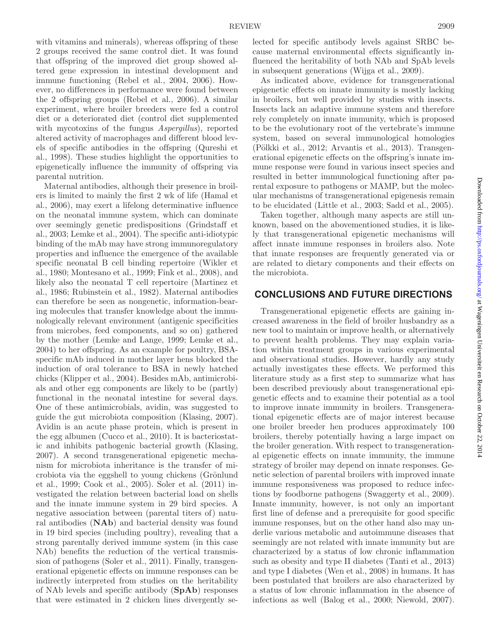with vitamins and minerals), whereas offspring of these 2 groups received the same control diet. It was found that offspring of the improved diet group showed altered gene expression in intestinal development and immune functioning (Rebel et al., 2004, 2006). However, no differences in performance were found between the 2 offspring groups (Rebel et al., 2006). A similar experiment, where broiler breeders were fed a control diet or a deteriorated diet (control diet supplemented with mycotoxins of the fungus *Aspergillus*), reported altered activity of macrophages and different blood levels of specific antibodies in the offspring (Qureshi et al., 1998). These studies highlight the opportunities to epigenetically influence the immunity of offspring via parental nutrition.

Maternal antibodies, although their presence in broilers is limited to mainly the first 2 wk of life (Hamal et al., 2006), may exert a lifelong determinative influence on the neonatal immune system, which can dominate over seemingly genetic predispositions (Grindstaff et al., 2003; Lemke et al., 2004). The specific anti-idiotypic binding of the mAb may have strong immunoregulatory properties and influence the emergence of the available specific neonatal B cell binding repertoire (Wikler et al., 1980; Montesano et al., 1999; Fink et al., 2008), and likely also the neonatal T cell repertoire (Martinez et al., 1986; Rubinstein et al., 1982). Maternal antibodies can therefore be seen as nongenetic, information-bearing molecules that transfer knowledge about the immunologically relevant environment (antigenic specificities from microbes, feed components, and so on) gathered by the mother (Lemke and Lange, 1999; Lemke et al., 2004) to her offspring. As an example for poultry, BSAspecific mAb induced in mother layer hens blocked the induction of oral tolerance to BSA in newly hatched chicks (Klipper et al., 2004). Besides mAb, antimicrobials and other egg components are likely to be (partly) functional in the neonatal intestine for several days. One of these antimicrobials, avidin, was suggested to guide the gut microbiota composition (Klasing, 2007). Avidin is an acute phase protein, which is present in the egg albumen (Cucco et al., 2010). It is bacteriostatic and inhibits pathogenic bacterial growth (Klasing, 2007). A second transgenerational epigenetic mechanism for microbiota inheritance is the transfer of microbiota via the eggshell to young chickens (Grönlund et al., 1999; Cook et al., 2005). Soler et al. (2011) investigated the relation between bacterial load on shells and the innate immune system in 29 bird species. A negative association between (parental titers of) natural antibodies (**NAb**) and bacterial density was found in 19 bird species (including poultry), revealing that a strong parentally derived immune system (in this case NAb) benefits the reduction of the vertical transmission of pathogens (Soler et al., 2011). Finally, transgenerational epigenetic effects on immune responses can be indirectly interpreted from studies on the heritability of NAb levels and specific antibody (**SpAb**) responses that were estimated in 2 chicken lines divergently selected for specific antibody levels against SRBC because maternal environmental effects significantly influenced the heritability of both NAb and SpAb levels in subsequent generations (Wijga et al., 2009).

As indicated above, evidence for transgenerational epigenetic effects on innate immunity is mostly lacking in broilers, but well provided by studies with insects. Insects lack an adaptive immune system and therefore rely completely on innate immunity, which is proposed to be the evolutionary root of the vertebrate's immune system, based on several immunological homologies (Pölkki et al., 2012; Arvantis et al., 2013). Transgenerational epigenetic effects on the offspring's innate immune response were found in various insect species and resulted in better immunological functioning after parental exposure to pathogens or MAMP, but the molecular mechanisms of transgenerational epigenesis remain to be elucidated (Little et al., 2003; Sadd et al., 2005).

Taken together, although many aspects are still unknown, based on the abovementioned studies, it is likely that transgenerational epigenetic mechanisms will affect innate immune responses in broilers also. Note that innate responses are frequently generated via or are related to dietary components and their effects on the microbiota.

#### **CONCLUSIONS AND FUTURE DIRECTIONS**

Transgenerational epigenetic effects are gaining increased awareness in the field of broiler husbandry as a new tool to maintain or improve health, or alternatively to prevent health problems. They may explain variation within treatment groups in various experimental and observational studies. However, hardly any study actually investigates these effects. We performed this literature study as a first step to summarize what has been described previously about transgenerational epigenetic effects and to examine their potential as a tool to improve innate immunity in broilers. Transgenerational epigenetic effects are of major interest because one broiler breeder hen produces approximately 100 broilers, thereby potentially having a large impact on the broiler generation. With respect to transgenerational epigenetic effects on innate immunity, the immune strategy of broiler may depend on innate responses. Genetic selection of parental broilers with improved innate immune responsiveness was proposed to reduce infections by foodborne pathogens (Swaggerty et al., 2009). Innate immunity, however, is not only an important first line of defense and a prerequisite for good specific immune responses, but on the other hand also may underlie various metabolic and autoimmune diseases that seemingly are not related with innate immunity but are characterized by a status of low chronic inflammation such as obesity and type II diabetes (Tanti et al., 2013) and type I diabetes (Wen et al., 2008) in humans. It has been postulated that broilers are also characterized by a status of low chronic inflammation in the absence of infections as well (Balog et al., 2000; Niewold, 2007).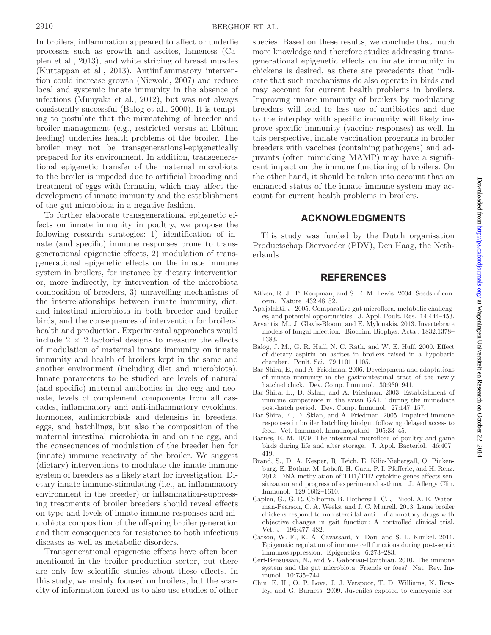In broilers, inflammation appeared to affect or underlie processes such as growth and ascites, lameness (Caplen et al., 2013), and white striping of breast muscles (Kuttappan et al., 2013). Antiinflammatory intervention could increase growth (Niewold, 2007) and reduce local and systemic innate immunity in the absence of infections (Munyaka et al., 2012), but was not always consistently successful (Balog et al., 2000). It is tempting to postulate that the mismatching of breeder and broiler management (e.g., restricted versus ad libitum feeding) underlies health problems of the broiler. The broiler may not be transgenerational-epigenetically prepared for its environment. In addition, transgenerational epigenetic transfer of the maternal microbiota to the broiler is impeded due to artificial brooding and treatment of eggs with formalin, which may affect the development of innate immunity and the establishment of the gut microbiota in a negative fashion.

To further elaborate transgenerational epigenetic effects on innate immunity in poultry, we propose the following research strategies: 1) identification of innate (and specific) immune responses prone to transgenerational epigenetic effects, 2) modulation of transgenerational epigenetic effects on the innate immune system in broilers, for instance by dietary intervention or, more indirectly, by intervention of the microbiota composition of breeders, 3) unravelling mechanisms of the interrelationships between innate immunity, diet, and intestinal microbiota in both breeder and broiler birds, and the consequences of intervention for broilers' health and production. Experimental approaches would include  $2 \times 2$  factorial designs to measure the effects of modulation of maternal innate immunity on innate immunity and health of broilers kept in the same and another environment (including diet and microbiota). Innate parameters to be studied are levels of natural (and specific) maternal antibodies in the egg and neonate, levels of complement components from all cascades, inflammatory and anti-inflammatory cytokines, hormones, antimicrobials and defensins in breeders, eggs, and hatchlings, but also the composition of the maternal intestinal microbiota in and on the egg, and the consequences of modulation of the breeder hen for (innate) immune reactivity of the broiler. We suggest (dietary) interventions to modulate the innate immune system of breeders as a likely start for investigation. Dietary innate immune-stimulating (i.e., an inflammatory environment in the breeder) or inflammation-suppressing treatments of broiler breeders should reveal effects on type and levels of innate immune responses and microbiota composition of the offspring broiler generation and their consequences for resistance to both infectious diseases as well as metabolic disorders.

Transgenerational epigenetic effects have often been mentioned in the broiler production sector, but there are only few scientific studies about these effects. In this study, we mainly focused on broilers, but the scarcity of information forced us to also use studies of other species. Based on these results, we conclude that much more knowledge and therefore studies addressing transgenerational epigenetic effects on innate immunity in chickens is desired, as there are precedents that indicate that such mechanisms do also operate in birds and may account for current health problems in broilers. Improving innate immunity of broilers by modulating breeders will lead to less use of antibiotics and due to the interplay with specific immunity will likely improve specific immunity (vaccine responses) as well. In this perspective, innate vaccination programs in broiler breeders with vaccines (containing pathogens) and adjuvants (often mimicking MAMP) may have a significant impact on the immune functioning of broilers. On the other hand, it should be taken into account that an enhanced status of the innate immune system may account for current health problems in broilers.

#### **ACKNOWLEDGMENTS**

This study was funded by the Dutch organisation Productschap Diervoeder (PDV), Den Haag, the Netherlands.

### **REFERENCES**

- Aitken, R. J., P. Koopman, and S. E. M. Lewis. 2004. Seeds of concern. Nature 432:48–52.
- Apajalahti, J. 2005. Comparative gut microflora, metabolic challenges, and potential opportunities. J. Appl. Poult. Res. 14:444–453.
- Arvantis, M., J. Glavis-Bloom, and E. Mylonakis. 2013. Invertebrate models of fungal infection. Biochim. Biophys. Acta . 1832:1378– 1383.
- Balog, J. M., G. R. Huff, N. C. Rath, and W. E. Huff. 2000. Effect of dietary aspirin on ascites in broilers raised in a hypobaric chamber. Poult. Sci. 79:1101–1105.
- Bar-Shira, E., and A. Friedman. 2006. Development and adaptations of innate immunity in the gastrointestinal tract of the newly hatched chick. Dev. Comp. Immunol. 30:930–941.
- Bar-Shira, E., D. Sklan, and A. Friedman. 2003. Establishment of immune competence in the avian GALT during the immediate post-hatch period. Dev. Comp. Immunol. 27:147–157.
- Bar-Shira, E., D. Sklan, and A. Friedman. 2005. Impaired immune responses in broiler hatchling hindgut following delayed access to feed. Vet. Immunol. Immunopathol. 105:33–45.
- Barnes, E. M. 1979. The intestinal microflora of poultry and game birds during life and after storage. J. Appl. Bacteriol. 46:407– 419.
- Brand, S., D. A. Kesper, R. Teich, E. Kilic-Niebergall, O. Pinkenburg, E. Bothur, M. Lohoff, H. Garn, P. I. Pfefferle, and H. Renz. 2012. DNA methylation of TH1/TH2 cytokine genes affects sensitization and progress of experimental asthma. J. Allergy Clin. Immunol. 129:1602–1610.
- Caplen, G., G. R. Colborne, B. Hothersall, C. J. Nicol, A. E. Waterman-Pearson, C. A. Weeks, and J. C. Murrell. 2013. Lame broiler chickens respond to non-steroidal anti- inflammatory drugs with objective changes in gait function: A controlled clinical trial. Vet. J. 196:477–482.
- Carson, W. F., K. A. Cavassani, Y. Dou, and S. L. Kunkel. 2011. Epigenetic regulation of immune cell functions during post-septic immunosuppression. Epigenetics 6:273–283.
- Cerf-Bensussan, N., and V. Gaboriau-Routhiau. 2010. The immune system and the gut microbiota: Friends or foes? Nat. Rev. Immunol. 10:735–744.
- Chin, E. H., O. P. Love, J. J. Verspoor, T. D. Williams, K. Rowley, and G. Burness. 2009. Juveniles exposed to embryonic cor-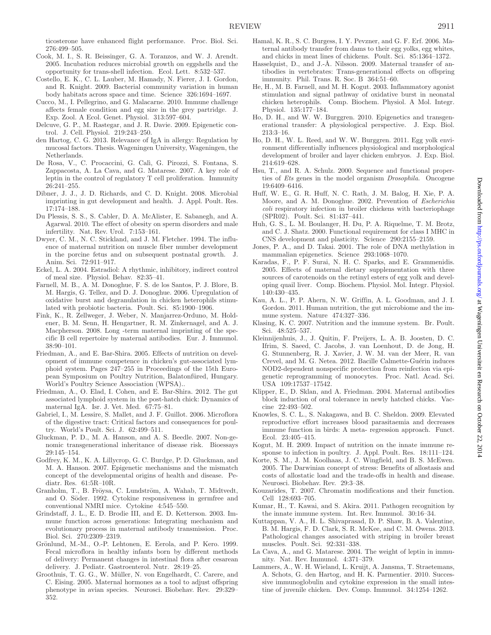ticosterone have enhanced flight performance. Proc. Biol. Sci. 276:499–505.

- Cook, M. I., S. R. Beissinger, G. A. Toranzos, and W. J. Arendt. 2005. Incubation reduces microbial growth on eggshells and the opportunity for trans-shell infection. Ecol. Lett. 8:532–537.
- Costello, E. K., C. L. Lauber, M. Hamady, N. Fierer, J. I. Gordon, and R. Knight. 2009. Bacterial community variation in human body habitats across space and time. Science 326:1694–1697.
- Cucco, M., I. Pellegrino, and G. Malacarne. 2010. Immune challenge affects female condition and egg size in the grey partridge. J. Exp. Zool. A Ecol. Genet. Physiol. 313:597–604.
- Delcuve, G. P., M. Rastegar, and J. R. Davie. 2009. Epigenetic control. J. Cell. Physiol. 219:243–250.
- den Hartog, C. G. 2013. Relevance of IgA in allergy: Regulation by mucosal factors. Thesis. Wageningen University, Wageningen, the Netherlands.
- De Rosa, V., C. Procaccini, G. Calì, G. Pirozzi, S. Fontana, S. Zappacosta, A. La Cava, and G. Matarese. 2007. A key role of leptin in the control of regulatory T cell proliferation. Immunity 26:241–255.
- Dibner, J. J., J. D. Richards, and C. D. Knight. 2008. Microbial imprinting in gut development and health. J. Appl. Poult. Res. 17:174–188.
- Du Plessis, S. S., S. Cabler, D. A. McAlister, E. Sabanegh, and A. Agarwal. 2010. The effect of obesity on sperm disorders and male infertility. Nat. Rev. Urol. 7:153–161.
- Dwyer, C. M., N. C. Stickland, and J. M. Fletcher. 1994. The influence of maternal nutrition on muscle fiber number development in the porcine fetus and on subsequent postnatal growth. J. Anim. Sci. 72:911–917.
- Eckel, L. A. 2004. Estradiol: A rhythmic, inhibitory, indirect control of meal size. Physiol. Behav. 82:35–41.
- Farnell, M. B., A. M. Donoghue, F. S. de los Santos, P. J. Blore, B. M. Hargis, G. Tellez, and D. J. Donoghue. 2006. Upregulation of oxidative burst and degranulation in chicken heterophils stimulated with probiotic bacteria. Poult. Sci. 85:1900–1906.
- Fink, K., R. Zellweger, J. Weber, N. Manjarrez-Orduno, M. Holdener, B. M. Senn, H. Hengartner, R. M. Zinkernagel, and A. J. Macpherson. 2008. Long -term maternal imprinting of the specific B cell repertoire by maternal antibodies. Eur. J. Immunol. 38:90–101.
- Friedman, A., and E. Bar-Shira. 2005. Effects of nutrition on development of immune competence in chicken's gut-associated lymphoid system. Pages 247–255 in Proceedings of the 15th European Symposium on Poultry Nutrition, Balatonfüred, Hungary. World's Poultry Science Association (WPSA)..
- Friedman, A., O. Elad, I. Cohen, and E. Bar-Shira. 2012. The gut associated lymphoid system in the post-hatch chick: Dynamics of maternal IgA. Isr. J. Vet. Med. 67:75–81.
- Gabriel, I., M. Lessire, S. Mallet, and J. F. Guillot. 2006. Microflora of the digestive tract: Critical factors and consequences for poultry. World's Poult. Sci. J. 62:499–511.
- Gluckman, P. D., M. A. Hanson, and A. S. Beedle. 2007. Non-genomic transgenerational inheritance of disease risk. Bioessays 29:145–154.
- Godfrey, K. M., K. A. Lillycrop, G. C. Burdge, P. D. Gluckman, and M. A. Hanson. 2007. Epigenetic mechanisms and the mismatch concept of the developmental origins of health and disease. Pediatr. Res. 61:5R–10R.
- Granholm, T., B. Fröysa, C. Lundström, A. Wahab, T. Midtvedt, and O. Söder. 1992. Cytokine responsiveness in germfree and conventional NMRI mice. Cytokine 4:545–550.
- Grindstaff, J. L., E. D. Brodie III, and E. D. Ketterson. 2003. Immune function across generations: Integrating mechanism and evolutionary process in maternal antibody transmission. Proc. Biol. Sci. 270:2309–2319.
- Grönlund, M.-M., O.-P. Lehtonen, E. Eerola, and P. Kero. 1999. Fecal microflora in healthy infants born by different methods of delivery: Permanent changes in intestinal flora after cesarean delivery. J. Pediatr. Gastroenterol. Nutr. 28:19–25.
- Groothuis, T. G. G., W. Müller, N. von Engelhardt, C. Carere, and C. Eising. 2005. Maternal hormones as a tool to adjust offspring phenotype in avian species. Neurosci. Biobehav. Rev. 29:329– 352.
- Hamal, K. R., S. C. Burgess, I. Y. Pevzner, and G. F. Erf. 2006. Maternal antibody transfer from dams to their egg yolks, egg whites, and chicks in meat lines of chickens. Poult. Sci. 85:1364–1372.
- Hasselquist, D., and J.-Å. Nilsson. 2009. Maternal transfer of antibodies in vertebrates: Trans-generational effects on offspring immunity. Phil. Trans. R. Soc. B 364:51–60.
- He, H., M. B. Farnell, and M. H. Kogut. 2003. Inflammatory agonist stimulation and signal pathway of oxidative burst in neonatal chicken heterophils. Comp. Biochem. Physiol. A Mol. Integr. Physiol. 135:177–184.
- Ho, D. H., and W. W. Burggren. 2010. Epigenetics and transgenerational transfer: A physiological perspective. J. Exp. Biol. 213:3–16.
- Ho, D. H., W. L. Reed, and W. W. Burggren. 2011. Egg yolk environment differentially influences physiological and morphological development of broiler and layer chicken embryos. J. Exp. Biol. 214:619–628.
- Hsu, T., and R. A. Schulz. 2000. Sequence and functional properties of *Ets* genes in the model organism *Drosophila.* Oncogene 19:6409–6416.
- Huff, W. E., G. R. Huff, N. C. Rath, J. M. Balog, H. Xie, P. A. Moore, and A. M. Donoghue. 2002. Prevention of *Escherichia coli* respiratory infection in broiler chickens with bacteriophage (SPR02). Poult. Sci. 81:437–441.
- Huh, G. S., L. M. Boulanger, H. Du, P. A. Riquelme, T. M. Brotz, and C. J. Shatz. 2000. Functional requirement for class I MHC in CNS development and plasticity. Science 290:2155–2159.
- Jones, P. A., and D. Takai. 2001. The role of DNA methylation in mammalian epigenetics. Science 293:1068–1070.
- Karadas, F., P. F. Surai, N. H. C. Sparks, and E. Grammenidis. 2005. Effects of maternal dietary supplementation with three sources of carotenoids on the retinyl esters of egg yolk and developing quail liver. Comp. Biochem. Physiol. Mol. Integr. Physiol. 140:430–435.
- Kau, A. L., P. P. Ahern, N. W. Griffin, A. L. Goodman, and J. I. Gordon. 2011. Human nutrition, the gut microbiome and the immune system. Nature 474:327–336.
- Klasing, K. C. 2007. Nutrition and the immune system. Br. Poult. Sci. 48:525–537.
- Kleinnijenhuis, J., J. Quitin, F. Preijers, L. A. B. Joosten, D. C. Ifrim, S. Saeed, C. Jacobs, J. van Loenhout, D. de Jong, H. G. Stunnenberg, R. J. Xavier, J. W. M. van der Meer, R. van Crevel, and M. G. Netea. 2012. Bacille Calmette-Guérin induces NOD2-dependent nonspecific protection from reinfection via epigenetic reprogramming of monocytes. Proc. Natl. Acad. Sci. USA 109:17537–17542.
- Klipper, E., D. Sklan, and A. Friedman. 2004. Maternal antibodies block induction of oral tolerance in newly hatched chicks. Vaccine 22:493–502.
- Knowles, S. C. L., S. Nakagawa, and B. C. Sheldon. 2009. Elevated reproductive effort increases blood parasitaemia and decreases immune function in birds: A meta- regression approach. Funct. Ecol. 23:405–415.
- Kogut, M. H. 2009. Impact of nutrition on the innate immune response to infection in poultry. J. Appl. Poult. Res. 18:111–124.
- Korte, S. M., J. M. Koolhaas, J. C. Wingfield, and B. S. McEwen. 2005. The Darwinian concept of stress: Benefits of allostasis and costs of allostatic load and the trade-offs in health and disease. Neurosci. Biobehav. Rev. 29:3–38.
- Kouzarides, T. 2007. Chromatin modifications and their function. Cell 128:693–705.
- Kumar, H., T. Kawai, and S. Akira. 2011. Pathogen recognition by the innate immune system. Int. Rev. Immunol. 30:16–34.
- Kuttappan, V. A., H. L. Shivaprasad, D. P. Shaw, B. A. Valentine, B. M. Hargis, F. D. Clark, S. R. McKee, and C. M. Owens. 2013. Pathological changes associated with striping in broiler breast muscles. Poult. Sci. 92:331–338.
- La Cava, A., and G. Matarese. 2004. The weight of leptin in immunity. Nat. Rev. Immunol. 4:371–379.
- Lammers, A., W. H. Wieland, L. Kruijt, A. Jansma, T. Straetemans, A. Schots, G. den Hartog, and H. K. Parmentier. 2010. Successive immunoglobulin and cytokine expression in the small intestine of juvenile chicken. Dev. Comp. Immunol. 34:1254–1262.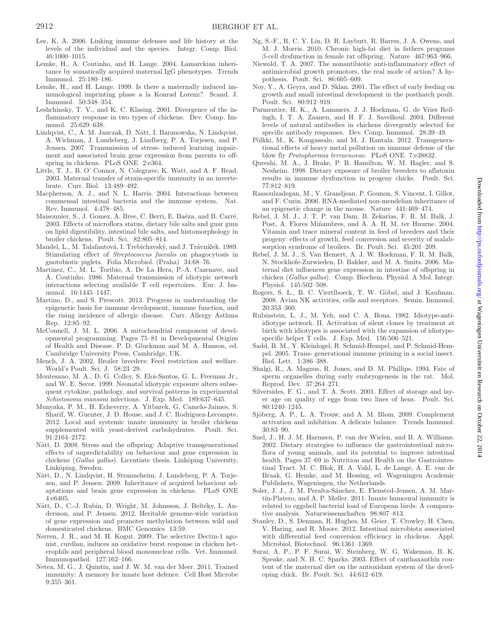- Lee, K. A. 2006. Linking immune defenses and life history at the levels of the individual and the species. Integr. Comp. Biol. 46:1000–1015.
- Lemke, H., A. Coutinho, and H. Lange. 2004. Lamarckian inheritance by somatically acquired maternal IgG phenotypes. Trends Immunol. 25:180–186.
- Lemke, H., and H. Lange. 1999. Is there a maternally induced immunological imprinting phase a la Konrad Lorenz? Scand. J. Immunol. 50:348–354.
- Leshchinsky, T. V., and K. C. Klasing. 2001. Divergence of the inflammatory response in two types of chickens. Dev. Comp. Immunol. 25:629–638.
- Lindqvist, C., A. M. Janczak, D. Nätt, I. Baranowska, N. Lindqvist, A. Wichman, J. Lundeberg, J. Lindberg, P. A. Torjesen, and P. Jensen. 2007. Transmission of stress- induced learning impairment and associated brain gene expression from parents to offspring in chickens. PLoS ONE 2:e364.
- Little, T. J., B. O' Connor, N. Colegrave, K. Watt, and A. F. Read. 2003. Maternal transfer of strain-specific immunity in an invertebrate. Curr. Biol. 13:489–492.
- Macpherson, A. J., and N. L. Harris. 2004. Interactions between commensal intestinal bacteria and the immune system. Nat. Rev. Immunol. 4:478–485.
- Maisonnier, S., J. Gomez, A. Bree, C. Berri, E. Baéza, and B. Carré. 2003. Effects of microflora status, dietary bile salts and guar gum on lipid digestibility, intestinal bile salts, and histomorphology in broiler chickens. Poult. Sci. 82:805–814.
- Mandel, L., M. Talafantová, I. Trebichavský, and J. Trávníček. 1989. Stimulating effect of *Streptococcus faecalis* on phagocytosis in gnotobiotic piglets. Folia Microbiol. (Praha) 34:68–76.
- Martinez, C., M. L. Toribio, A. De La Hera, P.-A. Cazenave, and A. Coutinho. 1986. Maternal transmission of idiotypic network interactions selecting available T cell repertoires. Eur. J. Immunol. 16:1445–1447.
- Martino, D., and S. Prescott. 2013. Progress in understanding the epigenetic basis for immune development, immune function, and the rising incidence of allergic disease. Curr. Allergy Asthma Rep. 12:85–92.
- McConnell, J. M. L. 2006. A mitochondrial component of developmental programming. Pages 75–81 in Developmental Origins of Health and Disease. P. D. Gluckman and M. A. Hanson, ed. Cambridge University Press, Cambridge, UK.
- Mench, J. A. 2002. Broiler breeders: Feed restriction and welfare. World's Poult. Sci. J. 58:23–29.
- Montesano, M. A., D. G. Colley, S. Eloi-Santos, G. L. Freeman Jr., and W. E. Secor. 1999. Neonatal idiotypic exposure alters subsequent cytokine, pathology, and survival patterns in experimental *Schistosoma mansoni* infections. J. Exp. Med. 189:637–645.
- Munyaka, P. M., H. Echeverry, A. Yitbarek, G. Camelo-Jaimes, S. Sharif, W. Guenter, J. D. House, and J. C. Rodriguez-Lecompte. 2012. Local and systemic innate immunity in broiler chickens supplemented with yeast-derived carbohydrates. Poult. Sci. 91:2164–2172.
- Nätt, D. 2008. Stress and the offspring: Adaptive transgenerational effects of unpredictability on behaviour and gene expression in chickens (*Gallus gallus*). Licentiate thesis. Linköping University, Linköping, Sweden.
- Nätt, D., N. Lindqvist, H. Stranneheim, J. Lundeberg, P. A. Torjesen, and P. Jensen. 2009. Inheritance of acquired behaviour adaptations and brain gene expression in chickens. PLoS ONE  $4.96405$ .
- Nätt, D., C.-J. Rubin, D. Wright, M. Johnsson, J. Beltéky, L. Andersson, and P. Jensen. 2012. Heritable genome-wide variation of gene expression and promoter methylation between wild and domesticated chickens. BMC Genomics 13:59.
- Nerren, J. R., and M. H. Kogut. 2009. The selective Dectin-1 agonist, curdlan, induces an oxidative burst response in chicken heterophils and peripheral blood mononuclear cells. Vet. Immunol. Immunopathol. 127:162–166.
- Netea, M. G., J. Quintin, and J. W. M. van der Meer. 2011. Trained immunity: A memory for innate host defence. Cell Host Microbe 9:355–361.
- Ng, S.-F., R. C. Y. Lin, D. R. Laybutt, R. Barres, J. A. Owens, and M. J. Morris. 2010. Chronic high-fat diet in fathers programs β-cell dysfunction in female rat offspring. Nature 467:963–966.
- Niewold, T. A. 2007. The nonantibiotic anti-inflammatory effect of antimicrobial growth promotors, the real mode of action? A hypothesis. Poult. Sci. 86:605–609.
- Noy, Y., A. Geyra, and D. Sklan. 2001. The effect of early feeding on growth and small intestinal development in the posthatch poult. Poult. Sci. 80:912–919.
- Parmentier, H. K., A. Lammers, J. J. Hoekman, G. de Vries Reilingh, I. T. A. Zaanen, and H. F. J. Savelkoul. 2004. Different levels of natural antibodies in chickens divergently selected for specific antibody responses. Dev. Comp. Immunol. 28:39–49.
- Pölkki, M., K. Kangassalo, and M. J. Rantala. 2012. Transgenerational effects of heavy metal pollution on immune defense of the blow fly *Protophormia terraenovae*. PLoS ONE 7:e38832.
- Qureshi, M. A., J. Brake, P. B. Hamilton, W. M. Hagler, and S. Nesheim. 1998. Dietary exposure of broiler breeders to aflatoxin results in immune dysfunction in progeny chicks. Poult. Sci. 77:812–819.
- Rassoulzadegan, M., V. Grandjean, P. Gounon, S. Vincent, I. Gillot, and F. Cuzin. 2006. RNA-mediated non-mendelian inheritance of an epigenetic change in the mouse. Nature 441:469–474.
- Rebel, J. M. J., J. T. P. van Dam, B. Zekarias, F. R. M. Balk, J. Post, A. Flores Miñambres, and A. A. H. M. ter Huurne. 2004. Vitamin and trace mineral content in feed of breeders and their progeny: effects of growth, feed conversion and severity of malabsorption syndrome of broilers. Br. Poult. Sci. 45:201–209.
- Rebel, J. M. J., S. Van Hemert, A. J. W. Hoekman, F. R. M. Balk, N. Stockhofe-Zurwieden, D. Bakker, and M. A. Smits. 2006. Maternal diet influences gene expression in intestine of offspring in chicken (*Gallus gallus*). Comp. Biochem. Physiol. A Mol. Integr. Physiol. 145:502–508.
- Rogers, S. L., B. C. Viertlboeck, T. W. Göbel, and J. Kaufman. 2008. Avian NK activities, cells and receptors. Semin. Immunol. 20:353–360.
- Rubinstein, L. J., M. Yeh, and C. A. Bona. 1982. Idiotype-antiidiotype network. II. Activation of silent clones by treatment at birth with idiotypes is associated with the expansion of idiotypespecific helper T cells. J. Exp. Med. 156:506–521.
- Sadd, B. M., Y. Kleinlogel, R. Schmid-Hempel, and P. Schmid-Hempel. 2005. Trans- generational immune priming in a social insect. Biol. Lett. 1:386–388.
- Shalgi, R., A. Magnus, R. Jones, and D. M. Phillips. 1994. Fate of sperm organelles during early embryogenesis in the rat. Mol. Reprod. Dev. 37:264–271.
- Silversides, F. G., and T. A. Scott. 2001. Effect of storage and layer age on quality of eggs from two lines of hens. Poult. Sci. 80:1240–1245.
- Sjöberg, A. P., L. A. Trouw, and A. M. Blom. 2009. Complement activation and inhibition: A delicate balance. Trends Immunol. 30:83–90.
- Snel, J., H. J. M. Harmsen, P. van der Wielen, and B. A. Williams. 2002. Dietary strategies to influence the gastrointestinal microflora of young animals, and its potential to improve intestinal health. Pages  $37-69$  in Nutrition and Health on the Gastrointestinal Tract. M. C. Blok, H. A. Vahl, L. de Lange, A. E. van de Braak, G. Hemke, and M. Hessing, ed. Wageningen Academic Publishers, Wageningen, the Netherlands.
- Soler, J. J., J. M. Peralta-Sánchez, E. Flensted-Jensen, A. M. Martín-Platero, and A. P. Møller. 2011. Innate humoural immunity is related to eggshell bacterial load of European birds: A comparative analysis. Naturwissenschaften 98:807–813.
- Stanley, D., S. Denman, R. Hughes, M. Geier, T. Crowley, H. Chen, V. Haring, and R. Moore. 2012. Intestinal microbiota associated with differential feed conversion efficiency in chickens. Appl. Microbiol. Biotechnol. 96:1361–1369.
- Surai, A. P., P. F. Surai, W. Steinberg, W. G. Wakeman, B. K. Speake, and N. H. C. Sparks. 2003. Effect of canthaxanthin content of the maternal diet on the antioxidant system of the developing chick. Br. Poult. Sci. 44:612–619.